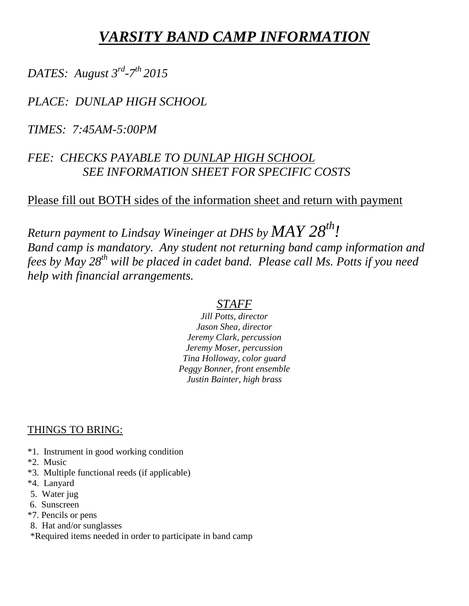# *VARSITY BAND CAMP INFORMATION*

# *DATES: August 3 rd -7 th 2015*

## *PLACE: DUNLAP HIGH SCHOOL*

*TIMES: 7:45AM-5:00PM*

## *FEE: CHECKS PAYABLE TO DUNLAP HIGH SCHOOL SEE INFORMATION SHEET FOR SPECIFIC COSTS*

### Please fill out BOTH sides of the information sheet and return with payment

*Return payment to Lindsay Wineinger at DHS by MAY 28th! Band camp is mandatory. Any student not returning band camp information and fees by May 28th will be placed in cadet band. Please call Ms. Potts if you need help with financial arrangements.*

#### *STAFF*

*Jill Potts, director Jason Shea, director Jeremy Clark, percussion Jeremy Moser, percussion Tina Holloway, color guard Peggy Bonner, front ensemble Justin Bainter, high brass*

#### THINGS TO BRING:

- \*1. Instrument in good working condition
- \*2. Music
- \*3. Multiple functional reeds (if applicable)
- \*4. Lanyard
- 5. Water jug
- 6. Sunscreen
- \*7. Pencils or pens
- 8. Hat and/or sunglasses
- \*Required items needed in order to participate in band camp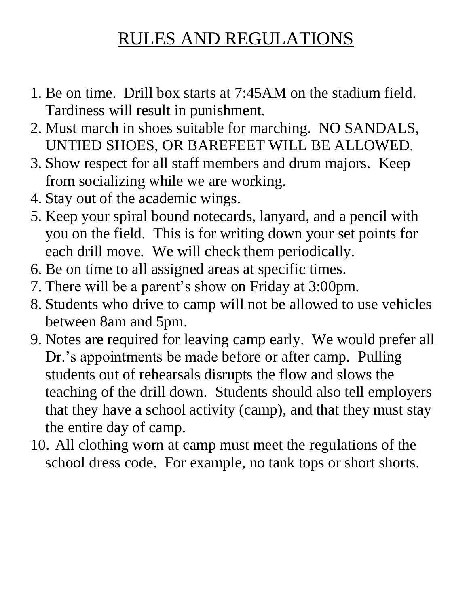# RULES AND REGULATIONS

- 1. Be on time. Drill box starts at 7:45AM on the stadium field. Tardiness will result in punishment.
- 2. Must march in shoes suitable for marching. NO SANDALS, UNTIED SHOES, OR BAREFEET WILL BE ALLOWED.
- 3. Show respect for all staff members and drum majors. Keep from socializing while we are working.
- 4. Stay out of the academic wings.
- 5. Keep your spiral bound notecards, lanyard, and a pencil with you on the field. This is for writing down your set points for each drill move. We will check them periodically.
- 6. Be on time to all assigned areas at specific times.
- 7. There will be a parent's show on Friday at 3:00pm.
- 8. Students who drive to camp will not be allowed to use vehicles between 8am and 5pm.
- 9. Notes are required for leaving camp early. We would prefer all Dr.'s appointments be made before or after camp. Pulling students out of rehearsals disrupts the flow and slows the teaching of the drill down. Students should also tell employers that they have a school activity (camp), and that they must stay the entire day of camp.
- 10. All clothing worn at camp must meet the regulations of the school dress code. For example, no tank tops or short shorts.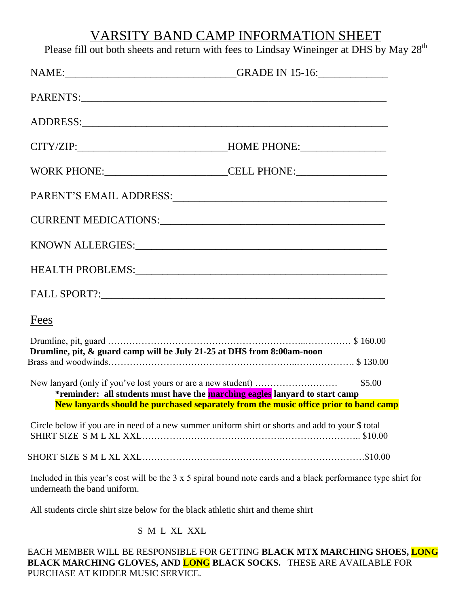## VARSITY BAND CAMP INFORMATION SHEET

Please fill out both sheets and return with fees to Lindsay Wineinger at DHS by May  $28^{th}$ 

| NAME: GRADE IN 15-16:                                                                            |                                                                                                               |
|--------------------------------------------------------------------------------------------------|---------------------------------------------------------------------------------------------------------------|
|                                                                                                  |                                                                                                               |
|                                                                                                  |                                                                                                               |
| CITY/ZIP:__________________________________HOME PHONE:__________________________                 |                                                                                                               |
|                                                                                                  | WORK PHONE: CELL PHONE:                                                                                       |
|                                                                                                  |                                                                                                               |
|                                                                                                  |                                                                                                               |
|                                                                                                  |                                                                                                               |
|                                                                                                  |                                                                                                               |
|                                                                                                  |                                                                                                               |
| Fees                                                                                             |                                                                                                               |
| Drumline, pit, & guard camp will be July 21-25 at DHS from 8:00am-noon                           |                                                                                                               |
| *reminder: all students must have the marching eagles lanyard to start camp                      | \$5.00<br>New lanyards should be purchased separately from the music office prior to band camp                |
|                                                                                                  |                                                                                                               |
| Circle below if you are in need of a new summer uniform shirt or shorts and add to your \$ total |                                                                                                               |
|                                                                                                  |                                                                                                               |
| underneath the band uniform.                                                                     | Included in this year's cost will be the 3 x 5 spiral bound note cards and a black performance type shirt for |
| All students circle shirt size below for the black athletic shirt and theme shirt                |                                                                                                               |
| S M L XL XXL                                                                                     |                                                                                                               |

EACH MEMBER WILL BE RESPONSIBLE FOR GETTING **BLACK MTX MARCHING SHOES, LONG BLACK MARCHING GLOVES, AND LONG BLACK SOCKS.** THESE ARE AVAILABLE FOR PURCHASE AT KIDDER MUSIC SERVICE.